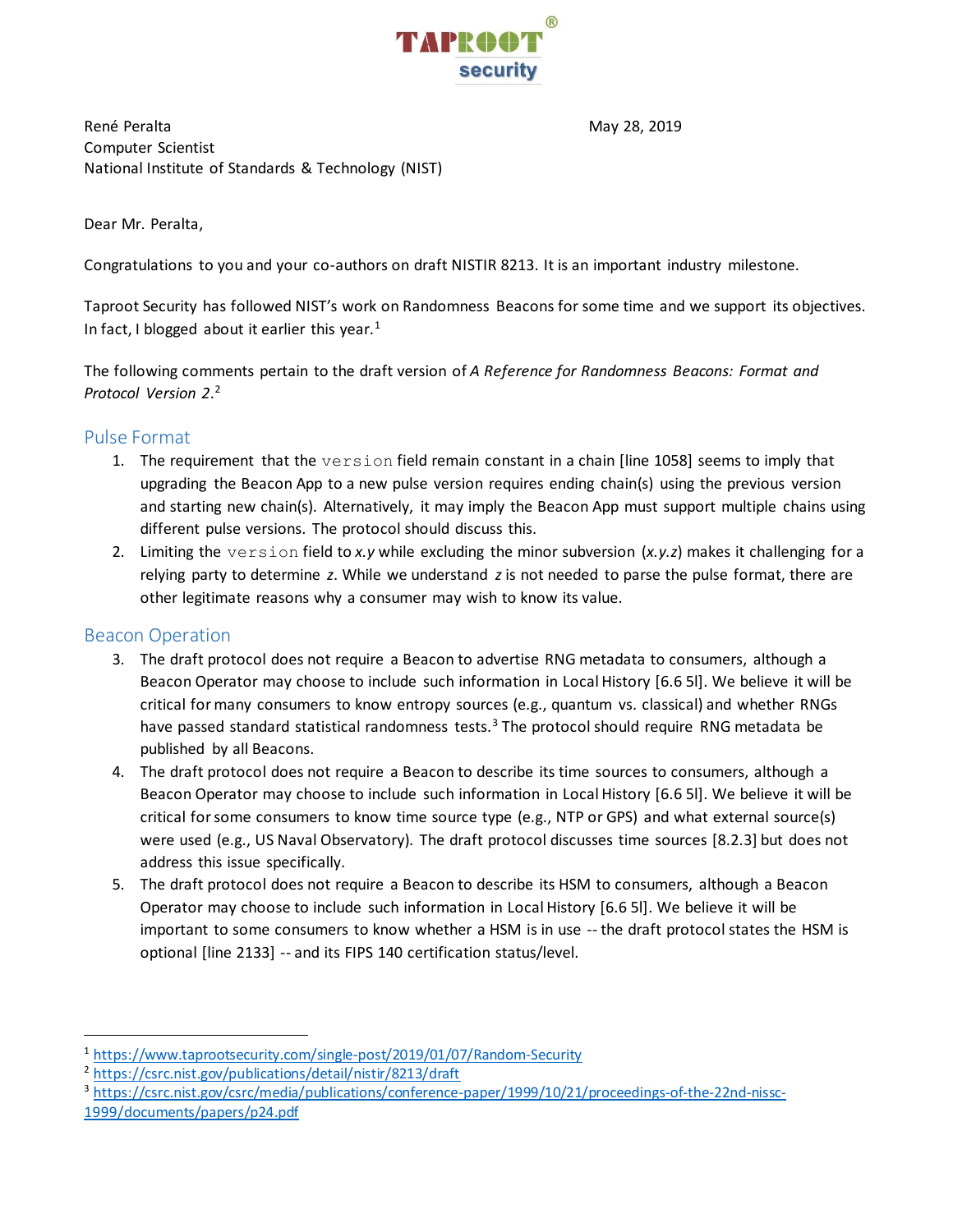

René Peralta May 28, 2019 Computer Scientist National Institute of Standards & Technology (NIST)

Dear Mr. Peralta,

Congratulations to you and your co-authors on draft NISTIR 8213. It is an important industry milestone.

Taproot Security has followed NIST's work on Randomness Beacons for some time and we support its objectives. In fact, I blogged about it earlier this year.<sup>1</sup>

The following comments pertain to the draft version of *A Reference for Randomness Beacons: Format and Protocol Version 2*. 2

# Pulse Format

- 1. The requirement that the version field remain constant in a chain [line 1058] seems to imply that upgrading the Beacon App to a new pulse version requires ending chain(s) using the previous version and starting new chain(s). Alternatively, it may imply the Beacon App must support multiple chains using different pulse versions. The protocol should discuss this.
- 2. Limiting the version field to *x.y* while excluding the minor subversion (*x.y.z*) makes it challenging for a relying party to determine *z*. While we understand *z* is not needed to parse the pulse format, there are other legitimate reasons why a consumer may wish to know its value.

# Beacon Operation

 $\overline{a}$ 

- 3. The draft protocol does not require a Beacon to advertise RNG metadata to consumers, although a Beacon Operator may choose to include such information in Local History [6.6 5l]. We believe it will be critical for many consumers to know entropy sources (e.g., quantum vs. classical) and whether RNGs have passed standard statistical randomness tests. $3$  The protocol should require RNG metadata be published by all Beacons.
- 4. The draft protocol does not require a Beacon to describe its time sources to consumers, although a Beacon Operator may choose to include such information in Local History [6.6 5l]. We believe it will be critical for some consumers to know time source type (e.g., NTP or GPS) and what external source(s) were used (e.g., US Naval Observatory). The draft protocol discusses time sources [8.2.3] but does not address this issue specifically.
- 5. The draft protocol does not require a Beacon to describe its HSM to consumers, although a Beacon Operator may choose to include such information in Local History [6.6 5l]. We believe it will be important to some consumers to know whether a HSM is in use -- the draft protocol states the HSM is optional [line 2133] -- and its FIPS 140 certification status/level.

<sup>1</sup> <https://www.taprootsecurity.com/single-post/2019/01/07/Random-Security>

<sup>2</sup> <https://csrc.nist.gov/publications/detail/nistir/8213/draft>

<sup>3</sup> [https://csrc.nist.gov/csrc/media/publications/conference-paper/1999/10/21/proceedings-of-the-22nd-nissc-](https://csrc.nist.gov/csrc/media/publications/conference-paper/1999/10/21/proceedings-of-the-22nd-nissc-1999/documents/papers/p24.pdf)[1999/documents/papers/p24.pdf](https://csrc.nist.gov/csrc/media/publications/conference-paper/1999/10/21/proceedings-of-the-22nd-nissc-1999/documents/papers/p24.pdf)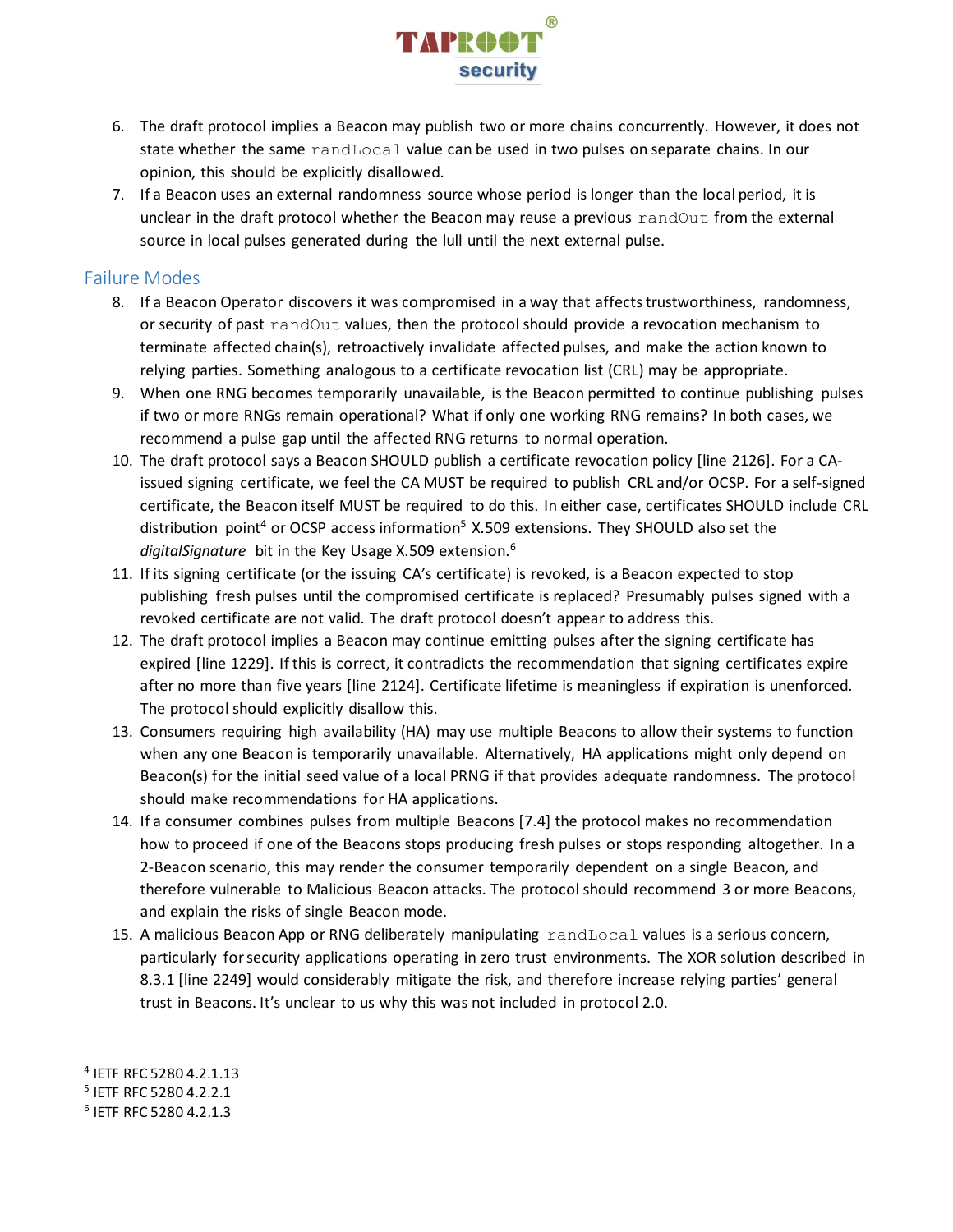

- 6. The draft protocol implies a Beacon may publish two or more chains concurrently. However, it does not state whether the same randLocal value can be used in two pulses on separate chains. In our opinion, this should be explicitly disallowed.
- 7. If a Beacon uses an external randomness source whose period is longer than the local period, it is unclear in the draft protocol whether the Beacon may reuse a previous randOut from the external source in local pulses generated during the lull until the next external pulse.

### Failure Modes

- 8. If a Beacon Operator discovers it was compromised in a way that affects trustworthiness, randomness, or security of past randOut values, then the protocol should provide a revocation mechanism to terminate affected chain(s), retroactively invalidate affected pulses, and make the action known to relying parties. Something analogous to a certificate revocation list (CRL) may be appropriate.
- 9. When one RNG becomes temporarily unavailable, is the Beacon permitted to continue publishing pulses if two or more RNGs remain operational? What if only one working RNG remains? In both cases, we recommend a pulse gap until the affected RNG returns to normal operation.
- 10. The draft protocol says a Beacon SHOULD publish a certificate revocation policy [line 2126]. For a CAissued signing certificate, we feel the CA MUST be required to publish CRL and/or OCSP. For a self-signed certificate, the Beacon itself MUST be required to do this. In either case, certificates SHOULD include CRL distribution point<sup>4</sup> or OCSP access information<sup>5</sup> X.509 extensions. They SHOULD also set the *digitalSignature* bit in the Key Usage X.509 extension. 6
- 11. If its signing certificate (or the issuing CA's certificate) is revoked, is a Beacon expected to stop publishing fresh pulses until the compromised certificate is replaced? Presumably pulses signed with a revoked certificate are not valid. The draft protocol doesn't appear to address this.
- 12. The draft protocol implies a Beacon may continue emitting pulses after the signing certificate has expired [line 1229]. If this is correct, it contradicts the recommendation that signing certificates expire after no more than five years [line 2124]. Certificate lifetime is meaningless if expiration is unenforced. The protocol should explicitly disallow this.
- 13. Consumers requiring high availability (HA) may use multiple Beacons to allow their systems to function when any one Beacon is temporarily unavailable. Alternatively, HA applications might only depend on Beacon(s) for the initial seed value of a local PRNG if that provides adequate randomness. The protocol should make recommendations for HA applications.
- 14. If a consumer combines pulses from multiple Beacons [7.4] the protocol makes no recommendation how to proceed if one of the Beacons stops producing fresh pulses or stops responding altogether. In a 2-Beacon scenario, this may render the consumer temporarily dependent on a single Beacon, and therefore vulnerable to Malicious Beacon attacks. The protocol should recommend 3 or more Beacons, and explain the risks of single Beacon mode.
- 15. A malicious Beacon App or RNG deliberately manipulating randLocal values is a serious concern, particularly for security applications operating in zero trust environments. The XOR solution described in 8.3.1 [line 2249] would considerably mitigate the risk, and therefore increase relying parties' general trust in Beacons. It's unclear to us why this was not included in protocol 2.0.

 $\overline{a}$ 

<sup>4</sup> IETF RFC 5280 4.2.1.13

<sup>5</sup> IETF RFC 5280 4.2.2.1

<sup>6</sup> IETF RFC 5280 4.2.1.3